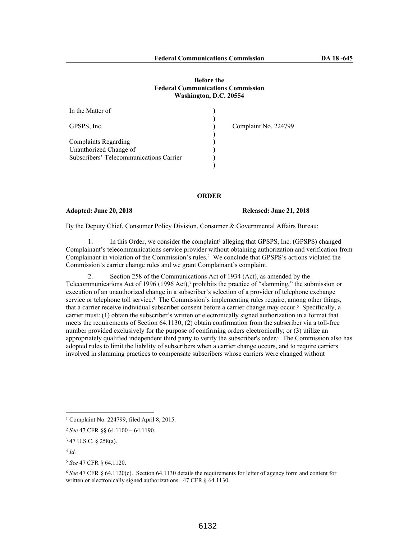# **Before the Federal Communications Commission Washington, D.C. 20554**

| In the Matter of                                                  |                      |
|-------------------------------------------------------------------|----------------------|
| GPSPS, Inc.                                                       | Complaint No. 224799 |
| <b>Complaints Regarding</b>                                       |                      |
| Unauthorized Change of<br>Subscribers' Telecommunications Carrier |                      |
|                                                                   |                      |

# **ORDER**

### **Adopted: June 20, 2018 Released: June 21, 2018**

By the Deputy Chief, Consumer Policy Division, Consumer & Governmental Affairs Bureau:

1. In this Order, we consider the complaint<sup>1</sup> alleging that GPSPS, Inc. (GPSPS) changed Complainant's telecommunications service provider without obtaining authorization and verification from Complainant in violation of the Commission's rules.<sup>2</sup> We conclude that GPSPS's actions violated the Commission's carrier change rules and we grant Complainant's complaint.

2. Section 258 of the Communications Act of 1934 (Act), as amended by the Telecommunications Act of 1996 (1996 Act),<sup>3</sup> prohibits the practice of "slamming," the submission or execution of an unauthorized change in a subscriber's selection of a provider of telephone exchange service or telephone toll service.<sup>4</sup> The Commission's implementing rules require, among other things, that a carrier receive individual subscriber consent before a carrier change may occur.<sup>5</sup> Specifically, a carrier must: (1) obtain the subscriber's written or electronically signed authorization in a format that meets the requirements of Section 64.1130; (2) obtain confirmation from the subscriber via a toll-free number provided exclusively for the purpose of confirming orders electronically; or (3) utilize an appropriately qualified independent third party to verify the subscriber's order.<sup>6</sup> The Commission also has adopted rules to limit the liability of subscribers when a carrier change occurs, and to require carriers involved in slamming practices to compensate subscribers whose carriers were changed without

<sup>1</sup> Complaint No. 224799, filed April 8, 2015.

<sup>2</sup> *See* 47 CFR §§ 64.1100 – 64.1190.

<sup>3</sup> 47 U.S.C. § 258(a).

<sup>4</sup> *Id.*

<sup>5</sup> *See* 47 CFR § 64.1120.

<sup>6</sup> *See* 47 CFR § 64.1120(c). Section 64.1130 details the requirements for letter of agency form and content for written or electronically signed authorizations. 47 CFR § 64.1130.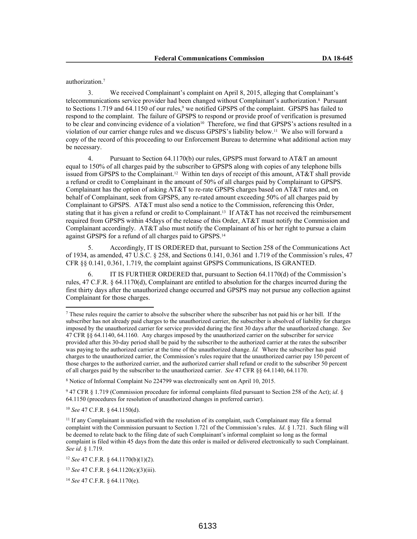authorization.<sup>7</sup>

3. We received Complainant's complaint on April 8, 2015, alleging that Complainant's telecommunications service provider had been changed without Complainant's authorization.<sup>8</sup> Pursuant to Sections 1.719 and 64.1150 of our rules,<sup>9</sup> we notified GPSPS of the complaint. GPSPS has failed to respond to the complaint. The failure of GPSPS to respond or provide proof of verification is presumed to be clear and convincing evidence of a violation<sup>10</sup> Therefore, we find that GPSPS's actions resulted in a violation of our carrier change rules and we discuss GPSPS's liability below.<sup>11</sup> We also will forward a copy of the record of this proceeding to our Enforcement Bureau to determine what additional action may be necessary.

4. Pursuant to Section 64.1170(b) our rules, GPSPS must forward to AT&T an amount equal to 150% of all charges paid by the subscriber to GPSPS along with copies of any telephone bills issued from GPSPS to the Complainant.<sup>12</sup> Within ten days of receipt of this amount, AT&T shall provide a refund or credit to Complainant in the amount of 50% of all charges paid by Complainant to GPSPS. Complainant has the option of asking AT&T to re-rate GPSPS charges based on AT&T rates and, on behalf of Complainant, seek from GPSPS, any re-rated amount exceeding 50% of all charges paid by Complainant to GPSPS. AT&T must also send a notice to the Commission, referencing this Order, stating that it has given a refund or credit to Complainant.<sup>13</sup> If AT&T has not received the reimbursement required from GPSPS within 45days of the release of this Order, AT&T must notify the Commission and Complainant accordingly. AT&T also must notify the Complainant of his or her right to pursue a claim against GPSPS for a refund of all charges paid to GPSPS.<sup>14</sup>

5. Accordingly, IT IS ORDERED that, pursuant to Section 258 of the Communications Act of 1934, as amended, 47 U.S.C. § 258, and Sections 0.141, 0.361 and 1.719 of the Commission's rules, 47 CFR §§ 0.141, 0.361, 1.719, the complaint against GPSPS Communications, IS GRANTED.

6. IT IS FURTHER ORDERED that, pursuant to Section 64.1170(d) of the Commission's rules, 47 C.F.R. § 64.1170(d), Complainant are entitled to absolution for the charges incurred during the first thirty days after the unauthorized change occurred and GPSPS may not pursue any collection against Complainant for those charges.

<sup>8</sup> Notice of Informal Complaint No 224799 was electronically sent on April 10, 2015.

<sup>10</sup> *See* 47 C.F.R. § 64.1150(d).

<sup>7</sup> These rules require the carrier to absolve the subscriber where the subscriber has not paid his or her bill. If the subscriber has not already paid charges to the unauthorized carrier, the subscriber is absolved of liability for charges imposed by the unauthorized carrier for service provided during the first 30 days after the unauthorized change. *See* 47 CFR §§ 64.1140, 64.1160. Any charges imposed by the unauthorized carrier on the subscriber for service provided after this 30-day period shall be paid by the subscriber to the authorized carrier at the rates the subscriber was paying to the authorized carrier at the time of the unauthorized change. *Id.* Where the subscriber has paid charges to the unauthorized carrier, the Commission's rules require that the unauthorized carrier pay 150 percent of those charges to the authorized carrier, and the authorized carrier shall refund or credit to the subscriber 50 percent of all charges paid by the subscriber to the unauthorized carrier. *See* 47 CFR §§ 64.1140, 64.1170.

<sup>9</sup> 47 CFR § 1.719 (Commission procedure for informal complaints filed pursuant to Section 258 of the Act); *id*. § 64.1150 (procedures for resolution of unauthorized changes in preferred carrier).

<sup>11</sup> If any Complainant is unsatisfied with the resolution of its complaint, such Complainant may file a formal complaint with the Commission pursuant to Section 1.721 of the Commission's rules. *Id*. § 1.721. Such filing will be deemed to relate back to the filing date of such Complainant's informal complaint so long as the formal complaint is filed within 45 days from the date this order is mailed or delivered electronically to such Complainant. *See id*. § 1.719.

<sup>12</sup> *See* 47 C.F.R. § 64.1170(b)(1)(2).

<sup>13</sup> *See* 47 C.F.R. § 64.1120(c)(3)(iii).

<sup>14</sup> *See* 47 C.F.R. § 64.1170(e).